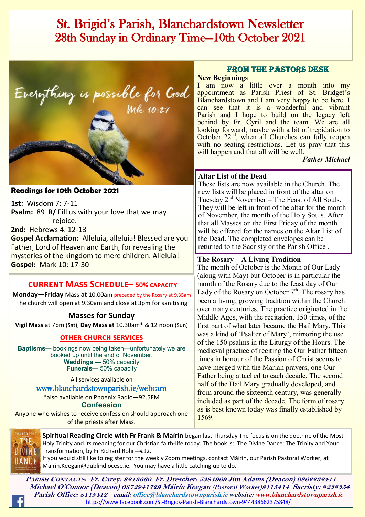## St. Brigid's Parish, Blanchardstown Newsletter 28th Sunday in Ordinary Time—10th October 2021



#### **Readings for 10th October 2021**

**1st:** Wisdom 7: 7-11 **Psalm:** 89 **R/** Fill us with your love that we may rejoice.

**2nd:** Hebrews 4: 12-13

**Gospel Acclamation:** Alleluia, alleluia! Blessed are you Father, Lord of Heaven and Earth, for revealing the mysteries of the kingdom to mere children. Alleluia! **Gospel:** Mark 10: 17-30

## **current Mass Schedule– 50% capacity**

**Monday—Friday** Mass at 10.00am preceded by the Rosary at 9.35am The church will open at 9.30am and close at 3pm for sanitising

## **Masses for Sunday**

**Vigil Mass** at 7pm (Sat), **Day Mass at** 10.30am\* & 12 noon (Sun)

#### **other church services**

**Baptisms—** bookings now being taken—unfortunately we are booked up until the end of November. **Weddings —** 50% capacity **Funerals—** 50% capacity

All services available on

[www.blanchardstownparish.ie/webcam](http://www.blanchardstownparish.ie/webcam)

\*also available on Phoenix Radio—92.5FM **Confession**

Anyone who wishes to receive confession should approach one of the priests after Mass.

### From the Pastors Desk

#### **New Beginnings**

I am now a little over a month into my appointment as Parish Priest of St. Bridget's Blanchardstown and I am very happy to be here. I can see that it is a wonderful and vibrant Parish and I hope to build on the legacy left behind by Fr. Cyril and the team. We are all looking forward, maybe with a bit of trepidation to October 22<sup>nd</sup>, when all Churches can fully reopen with no seating restrictions. Let us pray that this will happen and that all will be well.

*Father Michael*

#### **Altar List of the Dead**

These lists are now available in the Church. The new lists will be placed in front of the altar on Tuesday 2nd November – The Feast of All Souls. They will be left in front of the altar for the month of November, the month of the Holy Souls. After that all Masses on the First Friday of the month will be offered for the names on the Altar List of the Dead. The completed envelopes can be returned to the Sacristy or the Parish Office .

#### **The Rosary – A Living Tradition**

The month of October is the Month of Our Lady (along with May) but October is in particular the month of the Rosary due to the feast day of Our Lady of the Rosary on October  $7<sup>th</sup>$ . The rosary has been a living, growing tradition within the Church over many centuries. The practice originated in the Middle Ages, with the recitation, 150 times, of the first part of what later became the Hail Mary. This was a kind of 'Psalter of Mary', mirroring the use of the 150 psalms in the Liturgy of the Hours. The medieval practice of reciting the Our Father fifteen times in honour of the Passion of Christ seems to have merged with the Marian prayers, one Our Father being attached to each decade. The second half of the Hail Mary gradually developed, and from around the sixteenth century, was generally included as part of the decade. The form of rosary as is best known today was finally established by 1569.



**Spiritual Reading Circle with Fr Frank & Maírín** began last Thursday The focus is on the doctrine of the Most Holy Trinity and its meaning for our Christian faith-life today. The book is: The Divine Dance: The Trinity and Your Transformation, by Fr Richard Rohr—€12.

If you would still like to register for the weekly Zoom meetings, contact Máirín, our Parish Pastoral Worker, at Mairin.Keegan@dublindiocese.ie. You may have a little catching up to do.

**PARISH CONTACTS: Fr. Carey: 8213660 Fr. Drescher: 5384969 Jim Adams (Deacon) 0862232411 Michael O'Connor (Deacon) 0872941729 Máirín Keegan (Pastoral Worker)8115414 Sacristy: 8238354 Parish Office: 8115412 email: office@blanchardstownparish.ie website: www.blanchardstownparish.ie**  [https://www.facebook.com/St](https://www.facebook.com/St-Brigids-Parish-Blanchardstown-944438662375848/)-Brigids-Parish-Blanchardstown-944438662375848/